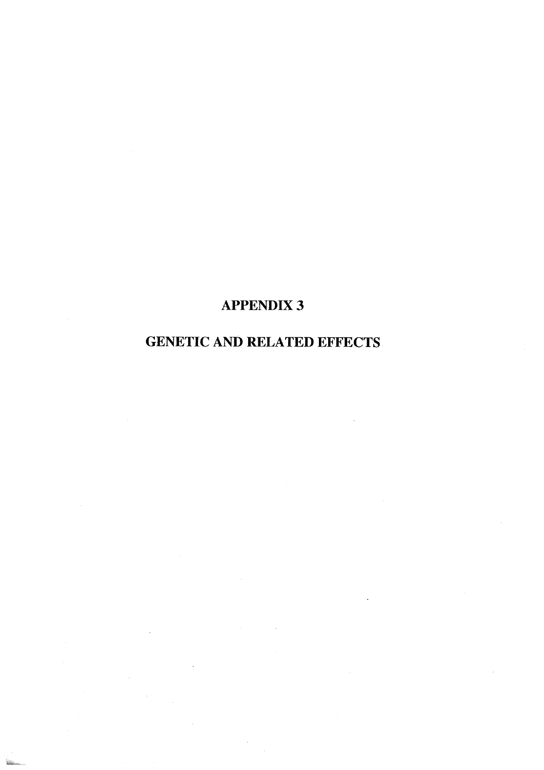# APPENDIX 3

# GENETIC AND RELATED EFFECTS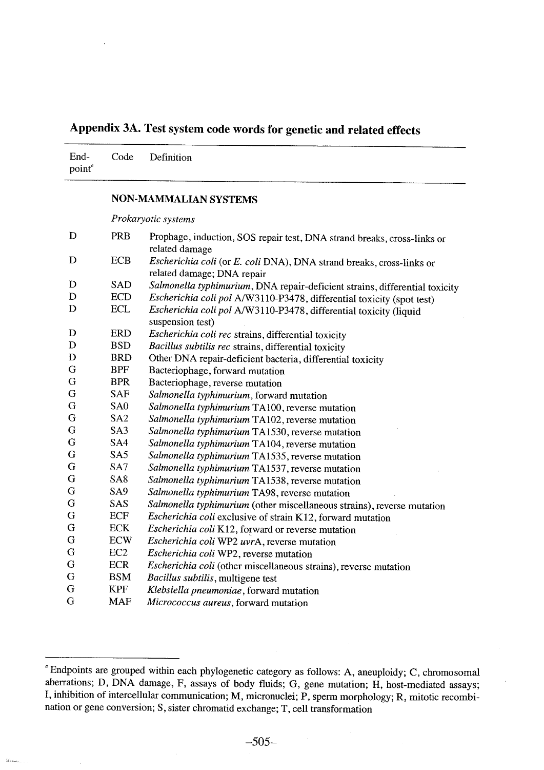# Appendix 3A. Test system code words for genetic and related effects

| point <sup>a</sup> | End- Code Definition |
|--------------------|----------------------|
|                    |                      |

## NON-MAMMLIAN SYSTEMS

Prokaryotic systems

| D | <b>PRB</b>      | Prophage, induction, SOS repair test, DNA strand breaks, cross-links or<br>related damage          |
|---|-----------------|----------------------------------------------------------------------------------------------------|
| D | <b>ECB</b>      | Escherichia coli (or E. coli DNA), DNA strand breaks, cross-links or<br>related damage; DNA repair |
| D | <b>SAD</b>      | Salmonella typhimurium, DNA repair-deficient strains, differential toxicity                        |
| D | <b>ECD</b>      | Escherichia coli pol A/W3110-P3478, differential toxicity (spot test)                              |
| D | <b>ECL</b>      | Escherichia coli pol A/W3110-P3478, differential toxicity (liquid<br>suspension test)              |
| D | <b>ERD</b>      | Escherichia coli rec strains, differential toxicity                                                |
| D | <b>BSD</b>      | Bacillus subtilis rec strains, differential toxicity                                               |
| D | <b>BRD</b>      | Other DNA repair-deficient bacteria, differential toxicity                                         |
| G | <b>BPF</b>      | Bacteriophage, forward mutation                                                                    |
| G | <b>BPR</b>      | Bacteriophage, reverse mutation                                                                    |
| G | <b>SAF</b>      | Salmonella typhimurium, forward mutation                                                           |
| G | SA <sub>0</sub> | Salmonella typhimurium TA100, reverse mutation                                                     |
| G | SA <sub>2</sub> | Salmonella typhimurium TA102, reverse mutation                                                     |
| G | SA3             | Salmonella typhimurium TA1530, reverse mutation                                                    |
| G | SA4             | Salmonella typhimurium TA104, reverse mutation                                                     |
| G | SA5             | Salmonella typhimurium TA1535, reverse mutation                                                    |
| G | SA7             | Salmonella typhimurium TA1537, reverse mutation                                                    |
| G | SA <sub>8</sub> | Salmonella typhimurium TA1538, reverse mutation                                                    |
| G | SA9             | Salmonella typhimurium TA98, reverse mutation                                                      |
| G | SAS             | Salmonella typhimurium (other miscellaneous strains), reverse mutation                             |
| G | ECF             | Escherichia coli exclusive of strain K12, forward mutation                                         |
| G | <b>ECK</b>      | Escherichia coli K12, forward or reverse mutation                                                  |
| G | <b>ECW</b>      | Escherichia coli WP2 uvrA, reverse mutation                                                        |
| G | EC2             | Escherichia coli WP2, reverse mutation                                                             |
| G | <b>ECR</b>      | Escherichia coli (other miscellaneous strains), reverse mutation                                   |
| G | <b>BSM</b>      | Bacillus subtilis, multigene test                                                                  |
| G | <b>KPF</b>      | Klebsiella pneumoniae, forward mutation                                                            |
| G | <b>MAF</b>      | Micrococcus aureus, forward mutation                                                               |

a Endpoints are grouped within each phylogenetic category as follows: A, aneuploidy; C, chromosomal aberrations; D, DNA damage, F, assays of body fluids; G, gene mutation; H, host-mediated assays; l, inhibition of intercellular communication; M, micronuclei; P, sperm morphology; R, mitotic recombination or gene conversion; S, sister chromatid exchange; T, cell transformation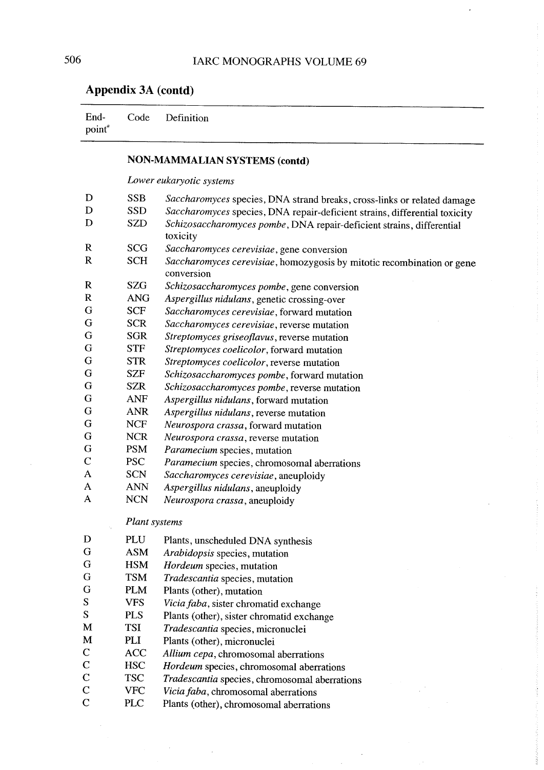$\overline{\phantom{a}}$ 

# Appendix 3A (contd)

 $\bar{z}$ 

 $\ddot{\phantom{a}}$ 

| End-<br>point <sup>®</sup> | Code                     | Definition                                                                           |  |  |  |  |  |  |
|----------------------------|--------------------------|--------------------------------------------------------------------------------------|--|--|--|--|--|--|
|                            |                          | <b>NON-MAMMALIAN SYSTEMS (contd)</b>                                                 |  |  |  |  |  |  |
|                            | Lower eukaryotic systems |                                                                                      |  |  |  |  |  |  |
| D                          | <b>SSB</b>               | Saccharomyces species, DNA strand breaks, cross-links or related damage              |  |  |  |  |  |  |
| D                          | <b>SSD</b>               | Saccharomyces species, DNA repair-deficient strains, differential toxicity           |  |  |  |  |  |  |
| D                          | <b>SZD</b>               | Schizosaccharomyces pombe, DNA repair-deficient strains, differential<br>toxicity    |  |  |  |  |  |  |
| $\mathbf R$                | <b>SCG</b>               | Saccharomyces cerevisiae, gene conversion                                            |  |  |  |  |  |  |
| $\bf R$                    | <b>SCH</b>               | Saccharomyces cerevisiae, homozygosis by mitotic recombination or gene<br>conversion |  |  |  |  |  |  |
| $\bf R$                    | <b>SZG</b>               | Schizosaccharomyces pombe, gene conversion                                           |  |  |  |  |  |  |
| $\mathbf R$                | <b>ANG</b>               | Aspergillus nidulans, genetic crossing-over                                          |  |  |  |  |  |  |
| G                          | <b>SCF</b>               | Saccharomyces cerevisiae, forward mutation                                           |  |  |  |  |  |  |
| G                          | <b>SCR</b>               | Saccharomyces cerevisiae, reverse mutation                                           |  |  |  |  |  |  |
| G                          | <b>SGR</b>               | Streptomyces griseoflavus, reverse mutation                                          |  |  |  |  |  |  |
| G                          | <b>STF</b>               | Streptomyces coelicolor, forward mutation                                            |  |  |  |  |  |  |
| G                          | <b>STR</b>               | Streptomyces coelicolor, reverse mutation                                            |  |  |  |  |  |  |
| G                          | <b>SZF</b>               | Schizosaccharomyces pombe, forward mutation                                          |  |  |  |  |  |  |
| G                          | <b>SZR</b>               | Schizosaccharomyces pombe, reverse mutation                                          |  |  |  |  |  |  |
| G                          | <b>ANF</b>               | Aspergillus nidulans, forward mutation                                               |  |  |  |  |  |  |
| G                          | <b>ANR</b>               | Aspergillus nidulans, reverse mutation                                               |  |  |  |  |  |  |
| G                          | <b>NCF</b>               | Neurospora crassa, forward mutation                                                  |  |  |  |  |  |  |
| G                          | <b>NCR</b>               | Neurospora crassa, reverse mutation                                                  |  |  |  |  |  |  |
| G                          | <b>PSM</b>               | Paramecium species, mutation                                                         |  |  |  |  |  |  |
| $\mathsf{C}$               | <b>PSC</b>               | Paramecium species, chromosomal aberrations                                          |  |  |  |  |  |  |
| A                          | <b>SCN</b>               | Saccharomyces cerevisiae, aneuploidy                                                 |  |  |  |  |  |  |
| A                          | <b>ANN</b>               | Aspergillus nidulans, aneuploidy                                                     |  |  |  |  |  |  |
| A                          | <b>NCN</b>               | Neurospora crassa, aneuploidy                                                        |  |  |  |  |  |  |
|                            | Plant systems            |                                                                                      |  |  |  |  |  |  |
| D                          | PLU                      | Plants, unscheduled DNA synthesis                                                    |  |  |  |  |  |  |
| G                          | <b>ASM</b>               | Arabidopsis species, mutation                                                        |  |  |  |  |  |  |
| G                          | <b>HSM</b>               | Hordeum species, mutation                                                            |  |  |  |  |  |  |
| G                          | <b>TSM</b>               | Tradescantia species, mutation                                                       |  |  |  |  |  |  |
| G                          | <b>PLM</b>               | Plants (other), mutation                                                             |  |  |  |  |  |  |
| S                          | <b>VFS</b>               | Vicia faba, sister chromatid exchange                                                |  |  |  |  |  |  |
| S                          | <b>PLS</b>               | Plants (other), sister chromatid exchange                                            |  |  |  |  |  |  |
| M                          | <b>TSI</b>               | Tradescantia species, micronuclei                                                    |  |  |  |  |  |  |
| M                          | PLI                      | Plants (other), micronuclei                                                          |  |  |  |  |  |  |
| $\mathsf{C}$               | <b>ACC</b>               | Allium cepa, chromosomal aberrations                                                 |  |  |  |  |  |  |
| $\mathbf C$                | <b>HSC</b>               | Hordeum species, chromosomal aberrations                                             |  |  |  |  |  |  |
| $\mathbf C$                | <b>TSC</b>               | Tradescantia species, chromosomal aberrations                                        |  |  |  |  |  |  |
| $\mathsf{C}$               | <b>VFC</b>               | Vicia faba, chromosomal aberrations                                                  |  |  |  |  |  |  |
| $\overline{C}$             | <b>PLC</b>               | Plants (other), chromosomal aberrations                                              |  |  |  |  |  |  |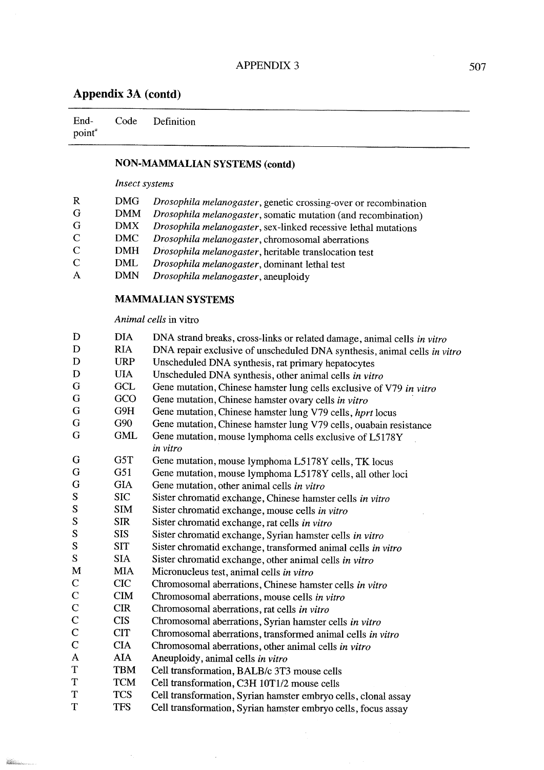End $point<sup>a</sup>$ Code Definition

## NON-MAMMALIAN SYSTEMS (contd)

#### Inseet systems

| R             | DMG.       | Drosophila melanogaster, genetic crossing-over or recombination       |
|---------------|------------|-----------------------------------------------------------------------|
| G             | DMM        | <i>Drosophila melanogaster</i> , somatic mutation (and recombination) |
| G             | <b>DMX</b> | Drosophila melanogaster, sex-linked recessive lethal mutations        |
| $\mathcal{C}$ | DMC.       | Drosophila melanogaster, chromosomal aberrations                      |
| $\mathbf C$   | DMH        | Drosophila melanogaster, heritable translocation test                 |
| $\mathcal{C}$ | DML        | Drosophila melanogaster, dominant lethal test                         |
| $\mathsf{A}$  | <b>DMN</b> | Drosophila melanogaster, aneuploidy                                   |
|               |            |                                                                       |

#### MAMMALIAN SYSTEMS

### Animal eells in vitro

 $\bar{\mathcal{A}}$ 

 $\label{eq:reduced} \begin{minipage}{0.9\linewidth} \begin{minipage}{0.9\linewidth} \centering \begin{minipage}{0.9\linewidth} \centering \end{minipage} \begin{minipage}{0.9\linewidth} \centering \end{minipage} \begin{minipage}{0.9\linewidth} \centering \begin{minipage}{0.9\linewidth} \centering \end{minipage} \begin{minipage}{0.9\linewidth} \centering \end{minipage} \begin{minipage}{0.9\linewidth} \centering \end{minipage} \begin{minipage}{0.9\linewidth} \centering \end{minipage} \begin{minipage}{0.9\linewidth} \centering \end{minipage} \begin{minipage$ 

 $\bar{z}$ 

| D             | <b>DIA</b> | DNA strand breaks, cross-links or related damage, animal cells in vitro  |
|---------------|------------|--------------------------------------------------------------------------|
| D             | <b>RIA</b> | DNA repair exclusive of unscheduled DNA synthesis, animal cells in vitro |
| D             | <b>URP</b> | Unscheduled DNA synthesis, rat primary hepatocytes                       |
| D             | <b>UIA</b> | Unscheduled DNA synthesis, other animal cells in vitro                   |
| G             | <b>GCL</b> | Gene mutation, Chinese hamster lung cells exclusive of V79 in vitro      |
| G             | GCO        | Gene mutation, Chinese hamster ovary cells in vitro                      |
| G             | G9H        | Gene mutation, Chinese hamster lung V79 cells, <i>hprt</i> locus         |
| G             | G90        | Gene mutation, Chinese hamster lung V79 cells, ouabain resistance        |
| G             | <b>GML</b> | Gene mutation, mouse lymphoma cells exclusive of L5178Y                  |
|               |            | in vitro                                                                 |
| G             | G5T        | Gene mutation, mouse lymphoma L5178Y cells, TK locus                     |
| G             | G51        | Gene mutation, mouse lymphoma L5178Y cells, all other loci               |
| G             | <b>GIA</b> | Gene mutation, other animal cells in vitro                               |
| ${\bf S}$     | <b>SIC</b> | Sister chromatid exchange, Chinese hamster cells in vitro                |
| S             | <b>SIM</b> | Sister chromatid exchange, mouse cells in vitro                          |
| S             | <b>SIR</b> | Sister chromatid exchange, rat cells in vitro                            |
| S             | <b>SIS</b> | Sister chromatid exchange, Syrian hamster cells in vitro                 |
| S             | <b>SIT</b> | Sister chromatid exchange, transformed animal cells in vitro             |
| ${\bf S}$     | <b>SIA</b> | Sister chromatid exchange, other animal cells in vitro                   |
| M             | <b>MIA</b> | Micronucleus test, animal cells in vitro                                 |
| $\mathbf C$   | <b>CIC</b> | Chromosomal aberrations, Chinese hamster cells in vitro                  |
| $\mathbf C$   | <b>CIM</b> | Chromosomal aberrations, mouse cells in vitro                            |
| $\mathcal{C}$ | <b>CIR</b> | Chromosomal aberrations, rat cells in vitro                              |
| $\mathbf C$   | <b>CIS</b> | Chromosomal aberrations, Syrian hamster cells in vitro                   |
| $\mathbf C$   | <b>CIT</b> | Chromosomal aberrations, transformed animal cells in vitro               |
| $\mathbf C$   | <b>CIA</b> | Chromosomal aberrations, other animal cells in vitro                     |
| A             | <b>AIA</b> | Aneuploidy, animal cells in vitro                                        |
| $\mathbf T$   | <b>TBM</b> | Cell transformation, BALB/c 3T3 mouse cells                              |
| T             | <b>TCM</b> | Cell transformation, C3H 10T1/2 mouse cells                              |
| T             | <b>TCS</b> | Cell transformation, Syrian hamster embryo cells, clonal assay           |
| T             | <b>TFS</b> | Cell transformation, Syrian hamster embryo cells, focus assay            |
|               |            |                                                                          |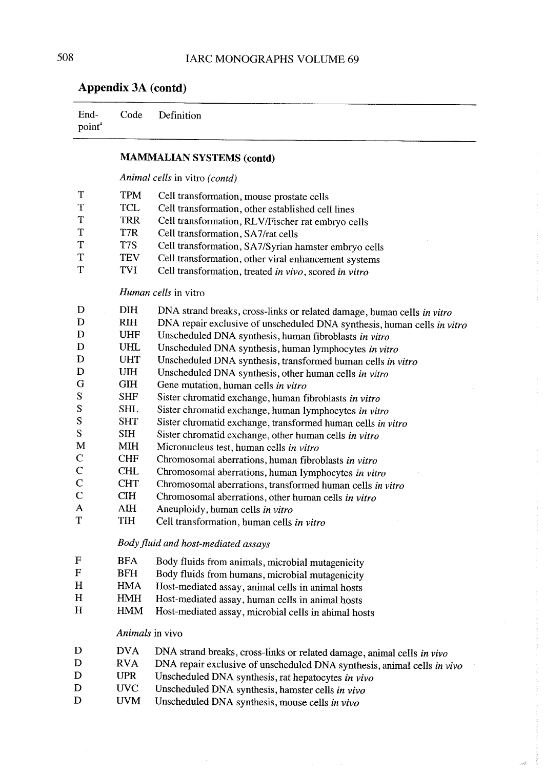| лррским эл (contu)         |  |                 |  |  |  |
|----------------------------|--|-----------------|--|--|--|
| End-<br>point <sup>a</sup> |  | Code Definition |  |  |  |
|                            |  |                 |  |  |  |

## MAMMALIAN SYSTEMS (contd)

Animal ceIls in vitro (contd)

| T            | <b>TPM</b> | Cell transformation, mouse prostate cells                               |  |  |  |  |  |
|--------------|------------|-------------------------------------------------------------------------|--|--|--|--|--|
| $\mathbf T$  | <b>TCL</b> | Cell transformation, other established cell lines                       |  |  |  |  |  |
| T            | <b>TRR</b> | Cell transformation, RLV/Fischer rat embryo cells                       |  |  |  |  |  |
| T            | T7R        | Cell transformation, SA7/rat cells                                      |  |  |  |  |  |
| $\mathbf T$  | T7S        | Cell transformation, SA7/Syrian hamster embryo cells                    |  |  |  |  |  |
| T            | <b>TEV</b> | Cell transformation, other viral enhancement systems                    |  |  |  |  |  |
| T            | <b>TVI</b> | Cell transformation, treated in vivo, scored in vitro                   |  |  |  |  |  |
|              |            |                                                                         |  |  |  |  |  |
|              |            | Human cells in vitro                                                    |  |  |  |  |  |
| D            | <b>DIH</b> | DNA strand breaks, cross-links or related damage, human cells in vitro  |  |  |  |  |  |
| D            | <b>RIH</b> | DNA repair exclusive of unscheduled DNA synthesis, human cells in vitro |  |  |  |  |  |
| D            | <b>UHF</b> | Unscheduled DNA synthesis, human fibroblasts in vitro                   |  |  |  |  |  |
| D            | <b>UHL</b> | Unscheduled DNA synthesis, human lymphocytes in vitro                   |  |  |  |  |  |
| D            | <b>UHT</b> | Unscheduled DNA synthesis, transformed human cells in vitro             |  |  |  |  |  |
| D            | <b>UIH</b> | Unscheduled DNA synthesis, other human cells in vitro                   |  |  |  |  |  |
| G            | <b>GIH</b> | Gene mutation, human cells in vitro                                     |  |  |  |  |  |
| S            | <b>SHF</b> | Sister chromatid exchange, human fibroblasts in vitro                   |  |  |  |  |  |
| S            | <b>SHL</b> | Sister chromatid exchange, human lymphocytes in vitro                   |  |  |  |  |  |
| S            | <b>SHT</b> | Sister chromatid exchange, transformed human cells in vitro             |  |  |  |  |  |
| S            | <b>SIH</b> | Sister chromatid exchange, other human cells in vitro                   |  |  |  |  |  |
| M            | <b>MIH</b> | Micronucleus test, human cells in vitro                                 |  |  |  |  |  |
| $\mathbf C$  | <b>CHF</b> | Chromosomal aberrations, human fibroblasts in vitro                     |  |  |  |  |  |
| $\mathbf C$  | <b>CHL</b> | Chromosomal aberrations, human lymphocytes in vitro                     |  |  |  |  |  |
| $\mathsf{C}$ | <b>CHT</b> | Chromosomal aberrations, transformed human cells in vitro               |  |  |  |  |  |
| $\mathbf C$  | <b>CIH</b> | Chromosomal aberrations, other human cells in vitro                     |  |  |  |  |  |
| A            | <b>AIH</b> | Aneuploidy, human cells in vitro                                        |  |  |  |  |  |
| T            | <b>TIH</b> | Cell transformation, human cells in vitro                               |  |  |  |  |  |
|              |            | Body fluid and host-mediated assays                                     |  |  |  |  |  |
| $\mathbf F$  | <b>BFA</b> | Body fluids from animals, microbial mutagenicity                        |  |  |  |  |  |
| $\mathbf F$  | <b>BFH</b> | Body fluids from humans, microbial mutagenicity                         |  |  |  |  |  |
| H            | <b>HMA</b> | Host-mediated assay, animal cells in animal hosts                       |  |  |  |  |  |
| H            | <b>HMH</b> | Host-mediated assay, human cells in animal hosts                        |  |  |  |  |  |
| H            | <b>HMM</b> | Host-mediated assay, microbial cells in ahimal hosts                    |  |  |  |  |  |
|              |            |                                                                         |  |  |  |  |  |
|              |            | Animals in vivo                                                         |  |  |  |  |  |
| D            | <b>DVA</b> | DNA strand breaks, cross-links or related damage, animal cells in vivo  |  |  |  |  |  |
| D            | <b>RVA</b> | DNA repair exclusive of unscheduled DNA synthesis, animal cells in vivo |  |  |  |  |  |
| D            | <b>UPR</b> | Unscheduled DNA synthesis, rat hepatocytes in vivo                      |  |  |  |  |  |
| $\mathbf D$  | <b>UVC</b> | Unscheduled DNA synthesis, hamster cells in vivo                        |  |  |  |  |  |

Unscheduled DNA synthesis, mouse cells in vivo

J.

 $\overline{a}$ 

D

UVM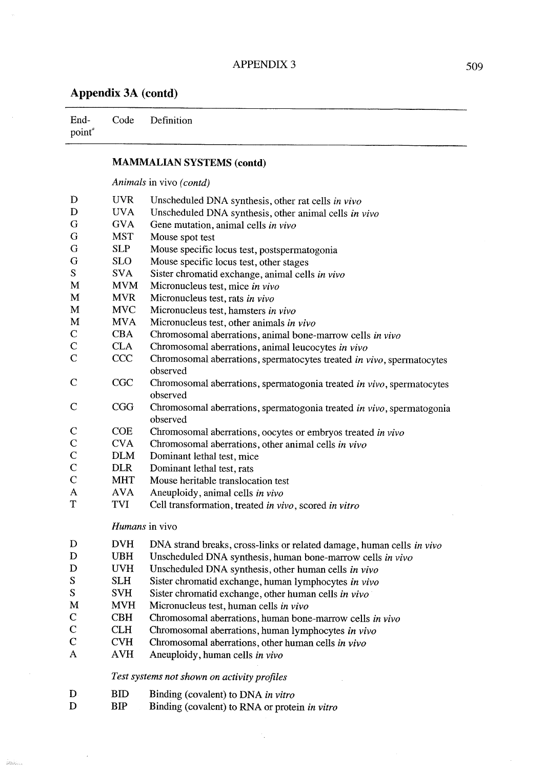point"

 $\hat{\phi}$ 

End-Code Definition

Animals in vivo  $(contd)$ 

|               |                | <i>Thurman</i> in vero (coma)                                         |  |  |  |  |  |  |
|---------------|----------------|-----------------------------------------------------------------------|--|--|--|--|--|--|
| D             | <b>UVR</b>     | Unscheduled DNA synthesis, other rat cells in vivo                    |  |  |  |  |  |  |
| D             | <b>UVA</b>     | Unscheduled DNA synthesis, other animal cells in vivo                 |  |  |  |  |  |  |
| G             | <b>GVA</b>     | Gene mutation, animal cells in vivo                                   |  |  |  |  |  |  |
| G             | <b>MST</b>     | Mouse spot test                                                       |  |  |  |  |  |  |
| G             | <b>SLP</b>     | Mouse specific locus test, postspermatogonia                          |  |  |  |  |  |  |
| G             | <b>SLO</b>     | Mouse specific locus test, other stages                               |  |  |  |  |  |  |
| S             | <b>SVA</b>     | Sister chromatid exchange, animal cells in vivo                       |  |  |  |  |  |  |
| M             | <b>MVM</b>     | Micronucleus test, mice in vivo                                       |  |  |  |  |  |  |
| M             | <b>MVR</b>     | Micronucleus test, rats in vivo                                       |  |  |  |  |  |  |
| M             | <b>MVC</b>     | Micronucleus test, hamsters in vivo                                   |  |  |  |  |  |  |
| M             | <b>MVA</b>     | Micronucleus test, other animals in vivo                              |  |  |  |  |  |  |
| $\mathbf C$   | <b>CBA</b>     | Chromosomal aberrations, animal bone-marrow cells in vivo             |  |  |  |  |  |  |
| $\mathbf C$   | <b>CLA</b>     | Chromosomal aberrations, animal leucocytes in vivo                    |  |  |  |  |  |  |
| $\mathbf C$   | <b>CCC</b>     | Chromosomal aberrations, spermatocytes treated in vivo, spermatocytes |  |  |  |  |  |  |
|               |                | observed                                                              |  |  |  |  |  |  |
| $\mathbf C$   | <b>CGC</b>     | Chromosomal aberrations, spermatogonia treated in vivo, spermatocytes |  |  |  |  |  |  |
|               |                | observed                                                              |  |  |  |  |  |  |
| $\mathbf C$   | <b>CGG</b>     | Chromosomal aberrations, spermatogonia treated in vivo, spermatogonia |  |  |  |  |  |  |
|               |                | observed                                                              |  |  |  |  |  |  |
| $\mathbf C$   | <b>COE</b>     | Chromosomal aberrations, oocytes or embryos treated in vivo           |  |  |  |  |  |  |
| $\mathbf C$   | <b>CVA</b>     | Chromosomal aberrations, other animal cells in vivo                   |  |  |  |  |  |  |
| $\mathcal{C}$ | <b>DLM</b>     | Dominant lethal test, mice                                            |  |  |  |  |  |  |
| $\mathbf C$   | <b>DLR</b>     | Dominant lethal test, rats                                            |  |  |  |  |  |  |
| $\mathcal{C}$ | <b>MHT</b>     | Mouse heritable translocation test                                    |  |  |  |  |  |  |
| A             | <b>AVA</b>     | Aneuploidy, animal cells in vivo                                      |  |  |  |  |  |  |
| T             | <b>TVI</b>     | Cell transformation, treated in vivo, scored in vitro                 |  |  |  |  |  |  |
|               |                |                                                                       |  |  |  |  |  |  |
|               | Humans in vivo |                                                                       |  |  |  |  |  |  |
| D             | <b>DVH</b>     | DNA strand breaks, cross-links or related damage, human cells in vivo |  |  |  |  |  |  |
| D             | <b>UBH</b>     | Unscheduled DNA synthesis, human bone-marrow cells in vivo            |  |  |  |  |  |  |
| D             | <b>UVH</b>     | Unscheduled DNA synthesis, other human cells in vivo                  |  |  |  |  |  |  |
| S             | <b>SLH</b>     | Sister chromatid exchange, human lymphocytes in vivo                  |  |  |  |  |  |  |
| S             | <b>SVH</b>     | Sister chromatid exchange, other human cells in vivo                  |  |  |  |  |  |  |
| M             | <b>MVH</b>     | Micronucleus test, human cells in vivo                                |  |  |  |  |  |  |
| $\mathbf C$   | <b>CBH</b>     | Chromosomal aberrations, human bone-marrow cells in vivo              |  |  |  |  |  |  |
| $\mathbf C$   | <b>CLH</b>     | Chromosomal aberrations, human lymphocytes in vivo                    |  |  |  |  |  |  |
| $\mathbf C$   | <b>CVH</b>     | Chromosomal aberrations, other human cells in vivo                    |  |  |  |  |  |  |
| A             | <b>AVH</b>     |                                                                       |  |  |  |  |  |  |
|               |                | Aneuploidy, human cells in vivo                                       |  |  |  |  |  |  |
|               |                | Test systems not shown on activity profiles                           |  |  |  |  |  |  |
| D             | <b>BID</b>     | Binding (covalent) to DNA in vitro                                    |  |  |  |  |  |  |
| D             | <b>BIP</b>     | Binding (covalent) to RNA or protein in vitro                         |  |  |  |  |  |  |
|               |                |                                                                       |  |  |  |  |  |  |

 $\hat{\gamma}_t$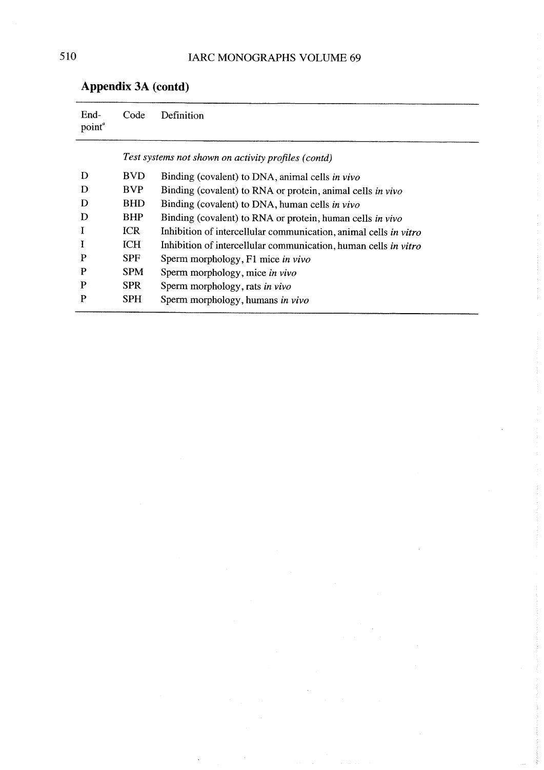| End-<br>point <sup>®</sup> | Code       | Definition                                                       |
|----------------------------|------------|------------------------------------------------------------------|
|                            |            | Test systems not shown on activity profiles (contd)              |
| D                          | <b>BVD</b> | Binding (covalent) to DNA, animal cells in vivo                  |
| D                          | BVP        | Binding (covalent) to RNA or protein, animal cells in vivo       |
| D                          | <b>BHD</b> | Binding (covalent) to DNA, human cells in vivo                   |
| D                          | <b>BHP</b> | Binding (covalent) to RNA or protein, human cells in vivo        |
| I                          | <b>ICR</b> | Inhibition of intercellular communication, animal cells in vitro |
| I                          | <b>ICH</b> | Inhibition of intercellular communication, human cells in vitro  |
| P                          | <b>SPF</b> | Sperm morphology, F1 mice in vivo                                |
| P                          | <b>SPM</b> | Sperm morphology, mice in vivo                                   |
| P                          | <b>SPR</b> | Sperm morphology, rats in vivo                                   |
| P                          | <b>SPH</b> | Sperm morphology, humans in vivo                                 |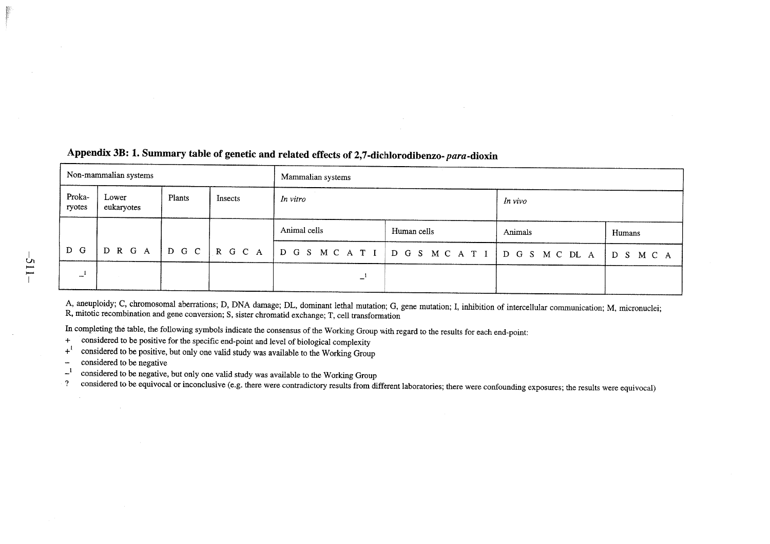| Non-mammalian systems |                     |        |                      | Mammalian systems                                  |             |         |        |
|-----------------------|---------------------|--------|----------------------|----------------------------------------------------|-------------|---------|--------|
| Proka-<br>ryotes      | Lower<br>eukaryotes | Plants | Insects              | In vitro                                           |             | In vivo |        |
|                       |                     |        |                      | Animal cells                                       | Human cells | Animals | Humans |
| D G                   | D R G A             |        | $ D G C   R G C A  $ | D G S M C A T I   D G S M C A T I   D G S M C DL A |             |         | DSMCA  |
| ⊷.                    |                     |        |                      | -                                                  |             |         |        |

## Appendix 3B: 1. Summary table of genetic and related effects of 2,7-dichlorodibenzo- para-dioxin

A, aneuploidy; C, chromosomal aberrations; D, DNA damage; DL, dominant lethal mutation; G, gene mutation; l, inhbition of intercellular communication; M, micronuclei; R, mitotic recombination and gene conversion; S, sister chromatid exchange; T, cell transfonnation

In completing the table, the following symbols indicate the consensus of the Working Group with regard to the results for each end-point

+ considered to be positive for the speific end-point and level of biological complexity

 $+1$  considered to be positive, but only one valid study was available to the Working Group

considered to be negative $\sim$ 

 $\epsilon^{-1}$  considered to be negative, but only one valid study was available to the Working Group

? considered to be equivocal or inconclusive (e.g. there were contradictory results from different laboratories; there were confounding exposures; the results were equivocal)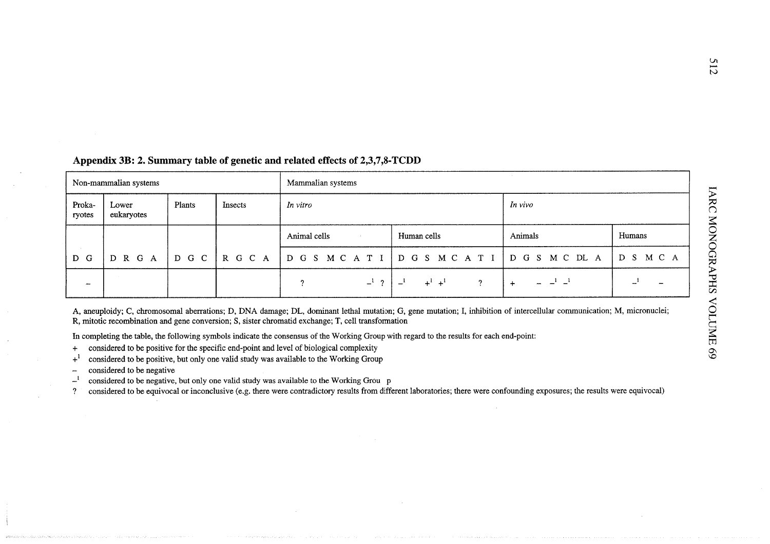| Non-mammalian systems    |                     |        |                | Mammalian systems             |                  |         |           |
|--------------------------|---------------------|--------|----------------|-------------------------------|------------------|---------|-----------|
| Proka-<br>ryotes         | Lower<br>eukaryotes | Plants | <b>Insects</b> | In vivo<br>In vitro           |                  |         |           |
|                          |                     |        |                | Animal cells<br>$\sim$ $\sim$ | Human cells      | Animals | Humans    |
| <b>CONTRACTOR</b><br>D G | D R G A             | D G C  | $R$ G C A      | DGSMCATI DGSMCATI DGSMCDLA    |                  |         | D S M C A |
| -                        |                     |        |                | $-1$ ?<br>റ                   | $+^{1}$ + $^{1}$ | $\div$  |           |

## Appendix 3B: 2. Summary table of genetic and related effects of 2,3,7,8-TCDD

A, aneuploidy; C, chromosomal aberrations; D, DNA damage; DL, dominant lethal mutation; G, gene mutation; I, inhibition of intercellular communication; M, micronuclei; R, mitotic recombination and gene conversion; S, sister chromatid exchange; T, cell transformation

In completing the table, the following symbols indicate the consensus of the Working Group with regard to the results for each end-point:

- + considered to be positive for the specifie end-point and level of biological complexity
- $+$ <sup>1</sup> considered to be positive, but only one valid study was available to the Working Group
- considered to be negative $\overline{a}$
- $-$ <sup>1</sup> considered to be negative, but only one valid study was available to the Working Grou p

? considered to be equivocal or inconclusive (e.g. there were contradictory results from different laboratories; there were confounding exposures; the results were equivocal)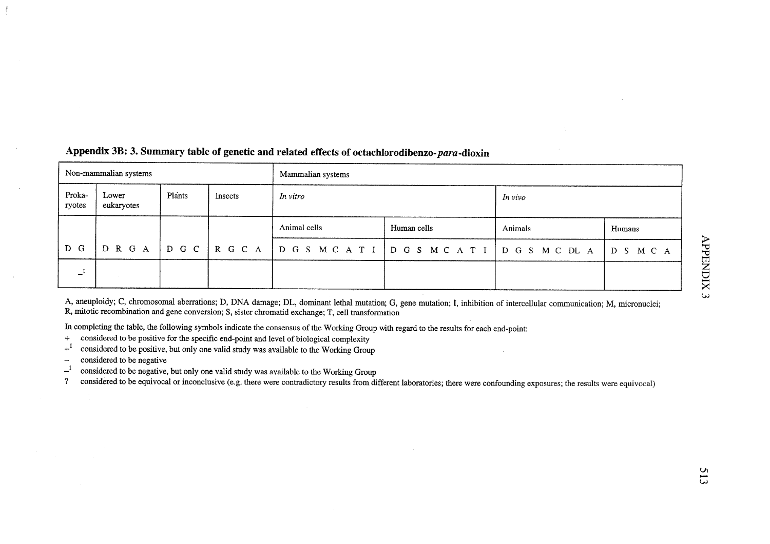| Non-mammalian systems |                     |        |         | Mammalian systems             |             |         |           |  |
|-----------------------|---------------------|--------|---------|-------------------------------|-------------|---------|-----------|--|
| Proka-<br>ryotes      | Lower<br>eukaryotes | Plants | Insects | In vitro                      |             | In vivo |           |  |
|                       |                     |        |         | Animal cells                  | Human cells | Animals | Humans    |  |
| D G                   | D R G A             |        | DGCRGCA | DGS MCATI DGS MCATI DGS MCDLA |             |         | D S M C A |  |
| — 1                   |                     |        |         |                               |             |         |           |  |

## Appendix 3B: 3. Summary table of genetic and related effects of octachlorodibenzo-para-dioxin

A, aneuploidy; C, chromosomal aberrations; D, DNA damage; DL, dominant lethal mutation; G, gene mutation; I, inhibition of intercellular communication; M, micronuclei R, mitotic recombination and gene conversion; S, sister chromatid exchange; T, cell transformation

In completing the table, the following symbols indicate the consensus of the Working Group with regard to the results for each end-point

- + considered to be positive for the specife end-point and level of biological complexity
- $+$ <sup>1</sup> considered to be positive, but only one valid study was available to the Working Group
- considered to be negative $\overline{\phantom{a}}$

 $\mathcal{L}$ 

 $\mathbf{r}^{-1}$  considered to be negative, but only one valid study was available to the Working Group

? considered to be equivocal or inconclusive (e.g. there were contradictory results from different laboratories; there were confounding exposures; the results were equivocal)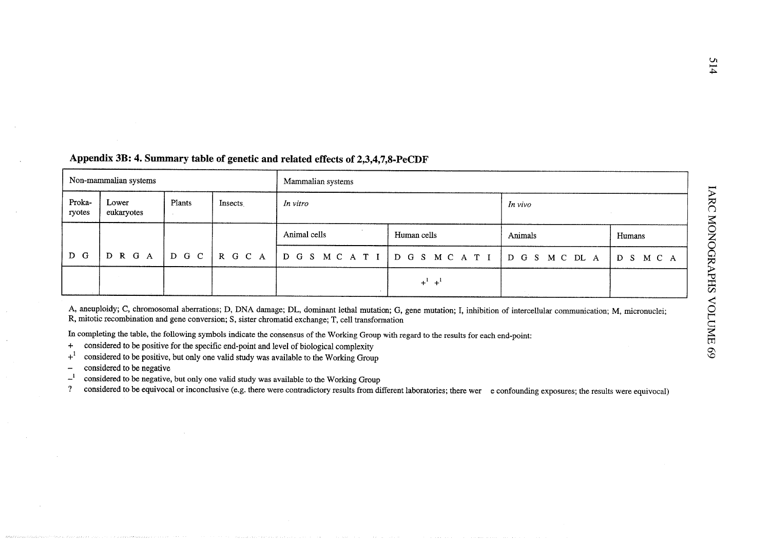| Non-mammalian systems |                     |        |         | Mammalian systems |                                                |         |              |  |
|-----------------------|---------------------|--------|---------|-------------------|------------------------------------------------|---------|--------------|--|
| Proka-<br>ryotes      | Lower<br>eukaryotes | Plants | Insects | In vitro          |                                                | In vivo |              |  |
|                       |                     |        |         | Animal cells      | Human cells                                    | Animals | Humans       |  |
| D G                   | D R G A             |        |         |                   | DGC   RGCA   DGS MCATI   DGS MCATI   DGS MCDLA |         | M C A<br>D S |  |
|                       |                     |        |         |                   | $+^{1}$ + $^{1}$                               |         |              |  |

## Appendix 3B: 4. Sumary table of genetic and related effects of 2,3,4,7,8-PeCDF

A, aneuploidy; C, chromosomal aberrations; D, DNA damage; DL, dominant lethal mutation; G, gene mutation; I, inhibition of intercellular communication; M, micronuclei R, mItotic recombination and gene conversion; S, sister chromatid exchange; T, cell transformation

In completing the table, the following symbols indicate the consensus of the Working Group with regard to the results for each end-point

- + considered to be positive for the specifc end-point and level of biologîcal complexity
- $+$ <sup>1</sup> considered to be positive, but only one valid study was available to the Working Group
- considered to be negative $\overline{\phantom{a}}$
- $-$ <sup>1</sup> considered to be negative, but only one valid study was available to the Working Group

? considered to be equivocal or inconclusive (e.g. there were contradictory results from different laboratories; there wer e confounding exposures; the results were equivocal)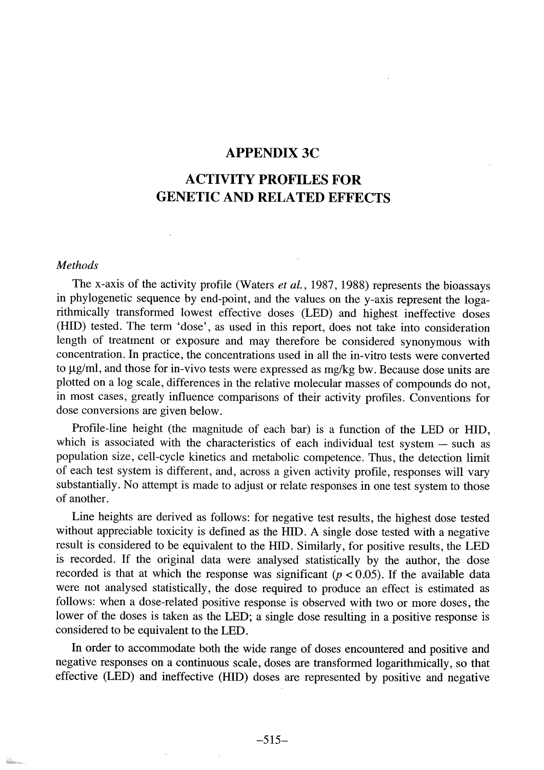## APPENDIX 3C

# ACTIVITY PROFILES FOR GENETIC AND RELATED EFFECTS

#### Methods

**Service State** 

The x-axis of the activity profile (Waters et al., 1987, 1988) represents the bioassays in phylogenetic sequence by end-point, and the values on the y-axis represent the logarithmically transformed lowest effective doses (LED) and highest ineffective doses (HID) tested. The term 'dose', as used in this report, does not take into consideration length of treatment or exposure and may therefore be considered synonymous with concentration. ln practice, the concentrations used in aIl the in-vitro tests were converted to  $\mu$ g/ml, and those for in-vivo tests were expressed as mg/kg bw. Because dose units are plotted on a log scale, differences in the relative molecular masses of compounds do not, in most cases, greatly influence comparsons of their activity profies. Conventions for dose conversions are given below.

Profile-line height (the magnitude of each bar) is a function of the LED or HID, which is associated with the characteristics of each individual test system - such as population size, cell-cycle kinetics and metabolic competence. Thus, the detection limit of each test system is different, and, across a given activity profile, responses will vary substantiaIly. No attempt is made to adjust or relate responses in one test system to those of another.

Line heights are derived as follows: for negative test results, the highest dose tested without appreciable toxicity is defined as the HID. A single dose tested with a negative result is considered to be equivalent to the HID. Similarly, for positive results, the LED is recorded. If the original data were analysed statistically by the author, the dose recorded is that at which the response was significant ( $p < 0.05$ ). If the available data were not analysed statisticalIy, the dose required to produce an effect is estimated as follows: when a dose-related positive response is observed with two or more doses, the lower of the doses is taken as the LED; a single dose resulting in a positive response is considered to be equivalent to the LED.

ln order to accommodate both the wide range of doses encountered and positive and negative responses on a continuous scale, doses are transformed 10garthmicaIly, so that effective (LED) and ineffective (HID) doses are represented by positive and negative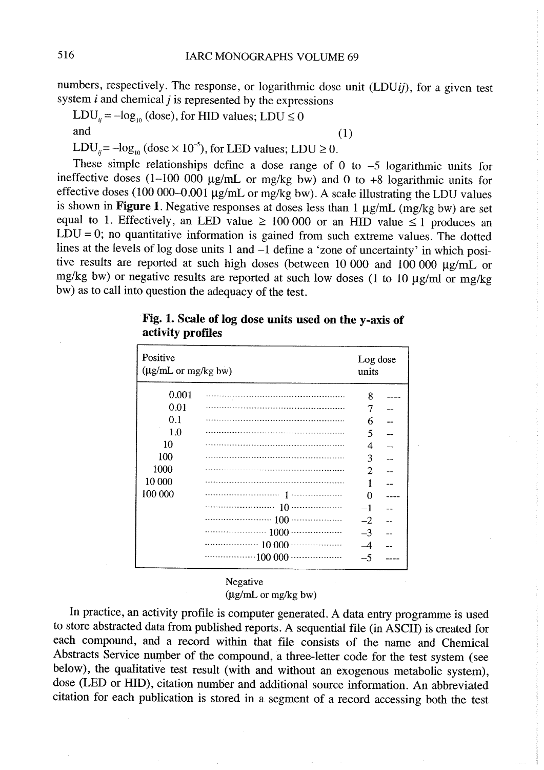numbers, respectively. The response, or logarithmic dose unit (LDUij), for a given test

system *i* and chemical *j* is represented by the expressions  $LDU_{ij} = -log_{10}$  (dose), for HID values;  $LDU \le 0$  (1)

LDU<sub>ij</sub> =  $-\log_{10} (\text{dose} \times 10^{-5})$ , for LED values; LDU  $\geq 0$ .

These simple relationships define a dose range of  $0$  to  $-5$  logarithmic units for ineffective doses (1-100 000  $\mu$ g/mL or mg/kg bw) and 0 to +8 logarithmic units for effective doses (100 000-0.001  $\mu$ g/mL or mg/kg bw). A scale illustrating the LDU values is shown in Figure 1. Negative responses at doses less than  $1 \mu g/mL$  (mg/kg bw) are set equal to 1. Effectively, an LED value  $\geq 100000$  or an HID value  $\leq 1$  produces an  $LDU = 0$ ; no quantitative information is gained from such extreme values. The dotted lines at the levels of log dose units 1 and  $-1$  define a 'zone of uncertainty' in which positive results are reported at such high doses (between  $100000$  and  $100000$   $\mu$ g/mL or mg/kg bw) or negative results are reported at such low doses (1 to 10  $\mu$ g/ml or mg/kg bw) as to call into question the adequacy of the test.

#### Positive Log dose  $(\mu g/mL$  or mg/kg bw) units 0.001 8  $---$ 0.01 7  $\sim$ 0.1 6 1.0 5 10 4  $\overline{a}$ 100 3 1000 2 10 000 1 100 000 ................'.......--., 1,...,----.......... o  $\frac{1}{2}$ ,...,--.----.............. 10............--..--. -1  $\overline{a}$ ....... -- --,... '..,...... 100 '.. --........... ,.- -2 ..... ,.......... \_.. ...- 1000....,....... -- \_..\_. -3 .... -- -- --, --....... 10 000 -- --. -, \_m..\_\_\_\_  $-4$ \_\_..m - ----.,...., 100 000 m\_\_...... \_\_m\_\_ -5

## Fig. 1. Scale of log dose units used on the y-axis of activity profiles

#### Negative

 $(\mu g/mL \text{ or } mg/kg \text{ by})$ 

ln practice, an activity profile is computer generated. A data entry programme is used to store abstracted data from published reports. A sequential file (in ASCII) is created for each compound, and a record within that file consists of the name and Chemical Abstracts Service number of the compound, a three-letter code for the test system (see below), the qualitative test result (with and without an exogenous metabolic system), dose (LED or HID), citation number and additional source information. An abbreviated citation for each publication is stored in a segment of a record accessing both the test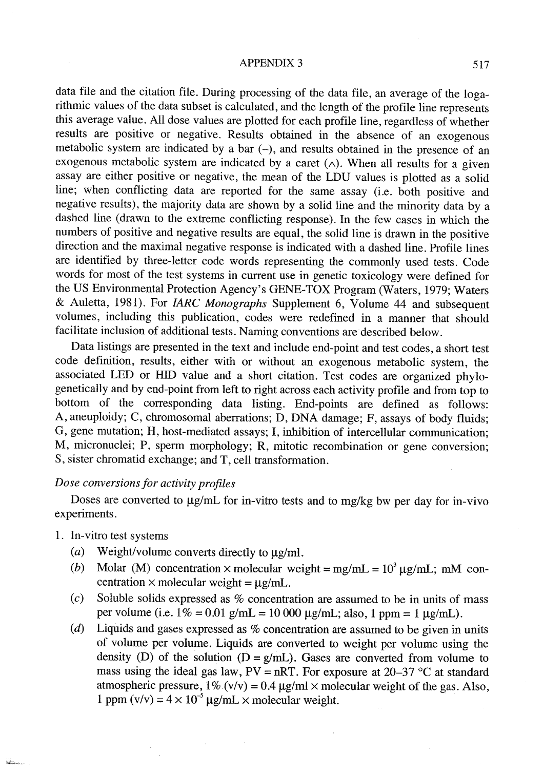#### APPENDIX 3 517

data file and the citation file. During processing of the data file, an average of the logarithmic values of the data subset is calculated, and the length of the profile line represents this average value. AlI dose values are plotted for each profile line, regardless of whether results are positive or negative. Results obtained in the absence of an exogenous metabolic system are indicated by a bar  $(-)$ , and results obtained in the presence of an exogenous metabolic system are indicated by a caret  $(\wedge)$ . When all results for a given assay are either positive or negative, the mean of the LDU values is plotted as a solid line; when conflicting data are reported for the same assay (i.e. both positive and negative results), the majority data are shown by a solid line and the minority data by a dashed line (drawn to the extreme conflicting response). ln the few cases in which the numbers of positive and negative results are equal, the solid line is drawn in the positive direction and the maximal negative response is indicated with a dashed line. Profile lines are identified by three-Ietter code words representing the commonly used tests. Code words for most of the test systems in current use in genetic toxicology were defined for the US Environmental Protection Agency's GENE-TOX Program (Waters, 1979; Waters & Auletta, 1981). For IARC Monographs Supplement 6, Volume 44 and subsequent volumes, including this publication, codes were redefined in a manner that should facilitate inclusion of additional tests. Naming conventions are described below.

Data listings are presented in the text and include end-point and test codes, a short test code definition, results, either with or without an exogenous metabolic system, the associated LED or HID value and a short citation. Test codes are organized phylogenetically and by end-point from left to right across each activity profile and from top to bottom of the corresponding data listing. End-points are defined as follows: A, aneuploidy; C, chromosomal aberrations; D, DNA damage; F, assays of body fluids; G, gene mutation; H, host-mediated assays; l, inhibition of intercellular communication; M, micronuclei; P, sperm morphology; R, mitotic recombination or gene conversion; S, sister chromatid exchange; and T, cell transformation.

## Dose conversions for activity profiles

Doses are converted to  $\mu$ g/mL for in-vitro tests and to mg/kg bw per day for in-vivo experiments.

- 1. ln-vitro test systems
	- (a) Weight/volume converts directly to  $\mu$ g/ml.
	- (b) Molar (M) concentration x molecular weight =  $mg/mL = 10<sup>3</sup> \mu g/mL$ ; mM concentration  $\times$  molecular weight =  $\mu$ g/mL.
	- (c) Soluble solids expressed as  $%$  concentration are assumed to be in units of mass per volume (i.e.  $1\% = 0.01$  g/mL = 10 000  $\mu$ g/mL; also, 1 ppm = 1  $\mu$ g/mL).
	- (d) Liquids and gases expressed as  $%$  concentration are assumed to be given in units of volume per volume. Liquids are converted to weight per volume using the density (D) of the solution ( $D = g/mL$ ). Gases are converted from volume to mass using the ideal gas law,  $PV = nRT$ . For exposure at 20–37 °C at standard atmospheric pressure,  $1\%$  (v/v) = 0.4  $\mu$ g/ml × molecular weight of the gas. Also, 1 ppm  $(v/v) = 4 \times 10^{-5} \mu g/mL \times molecular weight.$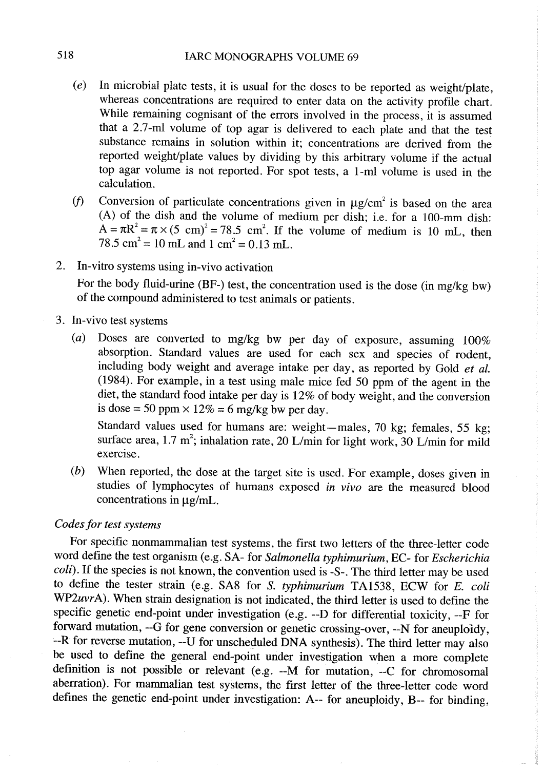- (e) ln microbial plate tests, it is usual for the doses to be reported as weight/plate, whereas concentrations are required to enter data on the activity profile chart. While remaining cognisant of the errors involved in the process, it is assumed that a 2.7-ml volume of top agar is delivered to each plate and that the test substance remains in solution within it; concentrations are derived from the reported weight/plate values by dividing by this arbitrary volume if the actual top agar volume is not reported. For spot tests, a I-ml volume is used in the calculation.
- if Conversion of particulate concentrations given in  $\mu$ g/cm<sup>2</sup> is based on the area (A) of the dish and the volume of medium per dish; i.e. for a  $100$ -mm dish:  $A = \pi R^2 = \pi \times (5 \text{ cm})^2 = 78.5 \text{ cm}^2$ . If the volume of medium is 10 mL, then 78.5 cm<sup>2</sup> = 10 mL and 1 cm<sup>2</sup> = 0.13 mL.
- 2. ln-vitro systems using in-vivo activation

For the body fluid-urine (BF-) test, the concentration used is the dose (in mg/kg bw) of the compound administered to test animaIs or patients.

- 3. ln-vivo test systems
	- (a) Doses are converted to mg/kg bw per day of exposure, assuming  $100\%$ absorption. Standard values are used for each sex and species of rodent, including body weight and average intake per day, as reported by Gold et al. (1984). For example, in a test using male mice fed 50 ppm of the agent in the diet, the standard food intake per day is 12% of body weight, and the conversion is dose = 50 ppm  $\times$  12% = 6 mg/kg bw per day.

Standard values used for humans are: weight-males, 70 kg; females, 55 kg; surface area, 1.7 m<sup>2</sup>; inhalation rate, 20 L/min for light work, 30 L/min for mild exercise.

(b) When reported, the dose at the target site is used. For example, doses given in studies of lymphocytes of humans exposed in vivo are the measured blood concentrations in  $\mu$ g/mL.

## Codes for test systems

For specifie nonmammalian test systems, the first two letters of the three-letter code word define the test organism (e.g. SA- for Salmonella typhimurium, EC- for Escherichia coli). If the species is not known, the convention used is -S-. The third letter may be used to define the tester strain (e.g. SA8 for S. typhimurium TA1538, ECW for E. coli WP2uvrA). When strain designation is not indicated, the third letter is used to define the specifie genetic end-point under investigation (e.g. --D for differential toxicity, --F for forward mutation, --G for gene conversion or genetic crossing-over, --N for aneuploìdy, --R for reverse mutation, --U for unscheduled DNA synthesis). The third letter may also be used to define the general end-point under investigation when a more complete definition is not possible or relevant (e.g. --M for mutation, --C for chromosomal aberration). For mammalian test systems, the first letter of the three-letter code word defines the genetic end-point under investigation: A-- for aneuploidy, B-- for binding,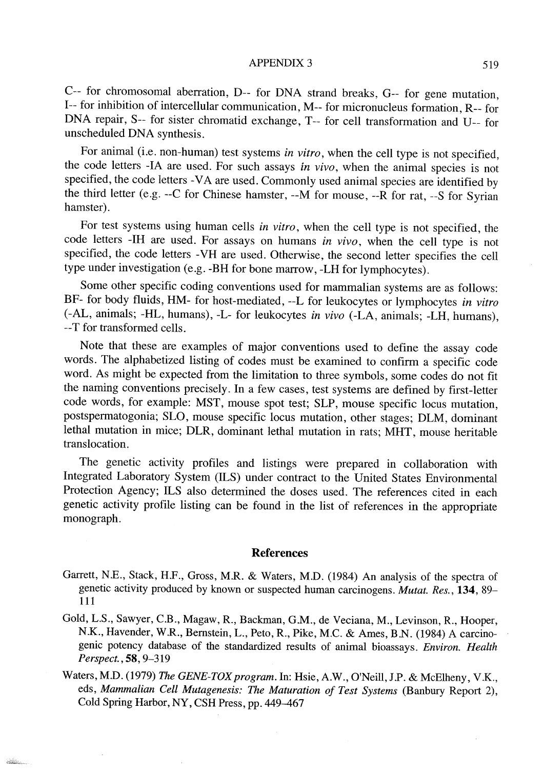#### APPENDIX 3 519

c-- for chromos omal aberration, D-- for DNA strand breaks, G-- for gene mutation, 1-- for inhibition of intercellular communication, M-- for micronucleus formation, R-- for DNA repair, S-- for sister chromatid exchange, T-- for cell transformation and U-- for unscheduled DNA synthesis.

For animal (i.e. non-human) test systems in vitro, when the cell type is not specified, the code letters -IA are used. For such assays *in vivo*, when the animal species is not specified, the code letters -VA are used. Commonly used animal species are identified by the third letter (e.g. --C for Chinese hamster, --M for mouse, --R for rat, --S for Syrian hamster).

For test systems using human cells in vitro, when the cell type is not specified, the code letters -IH are used. For assays on humans in vivo, when the cell type is not specified, the code letters - VH are used. Otherwise, the second letter specifies the cell type under investigation (e.g. -BH for bone marow, -LH for lymphocytes).

Some other specific coding conventions used for mammalian systems are as follows: BF- for body fluids, HM- for host-mediated, --L for leukocytes or lymphocytes in vitro (-AL, animaIs; -HL, humans), -L- for leukocytes in vivo (-LA, animaIs; -LH, humans), --T for transformed cells.

Note that these are ex amples of major conventions used to define the assay code words. The alphabetized listing of codes must be examined to confirm a specifie code word. As might be expected from the limitation to three symbols, some codes do not fit the naming conventions precisely. ln a few cases, test systems are defined by first-letter code words, for example: MST, mouse spot test; SLP, mouse specifie locus mutation, postspermatogonia; SLO, mouse specifie locus mutation, other stages; DLM, dominant lethal mutation in mice; DLR, dominant lethal mutation in rats; MHT, mouse heritable translocation.

The genetic activity profies and listings were prepared in collaboration with Integrated Laboratory System (ILS) under contract to the United States Environmental Protection Agency; ILS also determined the doses used. The references cited in each genetic activity profie listing can be found in the list of references in the appropriate monograph.

#### References

- Garett, N.E., Stack, H.F., Gross, M.R. & Waters, M.D. (1984) An analysis of the spectra of genetic activity produced by known or suspected human carcinogens. Mutat. Res., 134, 89- 111
- Gold, L.S., Sawyer, C.B., Magaw, R., Backman, G.M., de Veciana, M., Levinson, R., Hooper, N.K., Havender, W.R., Bernstein, L., Peto, R., Pike, M.C. & Ames, B.N. (1984) A carcinogenic potency database of the standardized results of animal bioassays. Environ. Health Perspect., 58, 9-319
- Waters, M.D. (1979) The GENE-TOX program. In: Hsie, A.W., O'Neill, J.P. & McElheny, V.K., eds, Mammalian Cell Mutagenesis: The Maturation of Test Systems (Banbury Report 2), Cold Spring Harbor, NY, CSH Press, pp. 449-467

**ROBERT**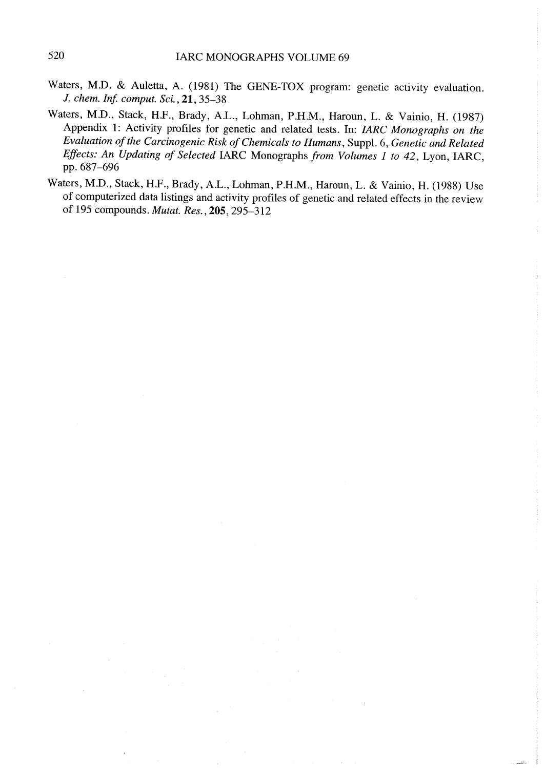- Waters, M.D. & Auletta, A. (1981) The GENE-TOX program: genetic activity evaluation. J. chem. Inf. comput. Sci., 21, 35-38
- Waters, M.D., Stack, H.F., Brady, AL., Lohman, P.H.M., Haroun, L. & Vainio, H. (1987) Appendix 1: Activity profiles for genetic and related tests. ln: IARC Monographs on the Evaluation of the Carcinogenic Risk of Chemicals to Humans, Suppl. 6, Genetic and Related Effects: An Updating of Selected IARC Monographs from Volumes 1 to 42, Lyon, IARC, pp. 687-696
- Waters, M.D., Stack, H.F., Brady, AL., Lohman, P.H.M., Haroun, L. & Vainio, H. (1988) Use of computerized data listings and activity profiles of genetic and related effects in the review of 195 compounds. Mutat. Res., 205,295-312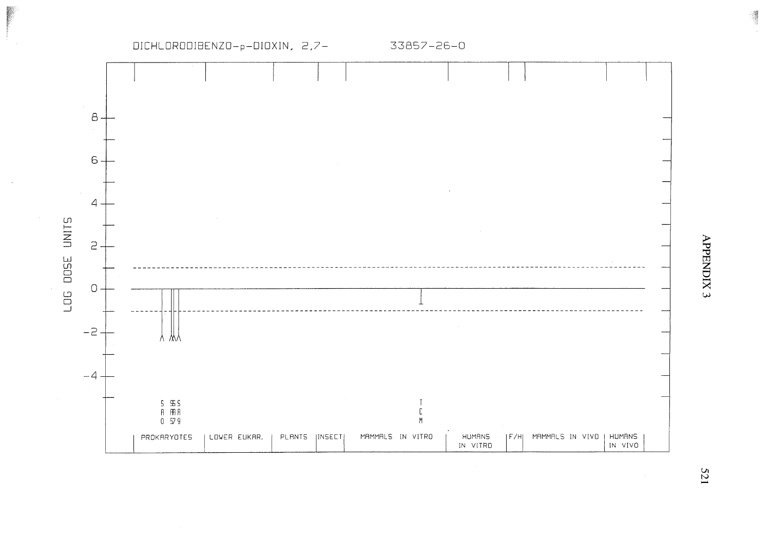

ą

521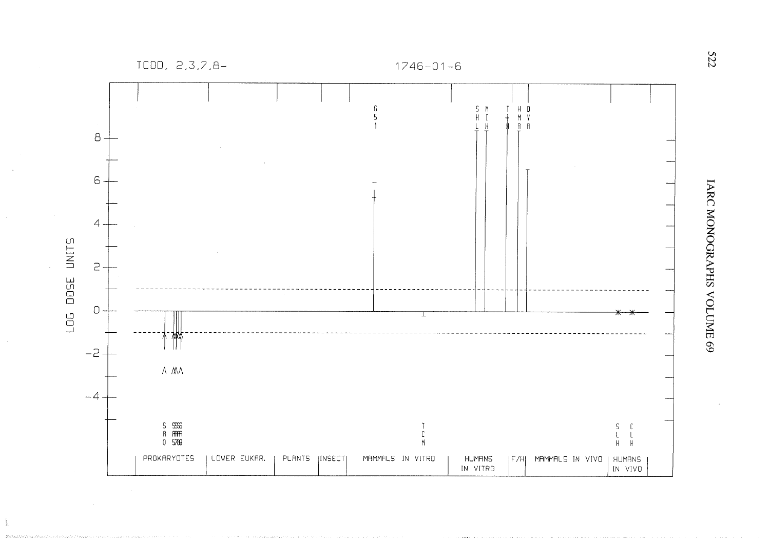$TCDD, 2,3,7,8-$ 



IARC MONOGRAPHS VOLUME 69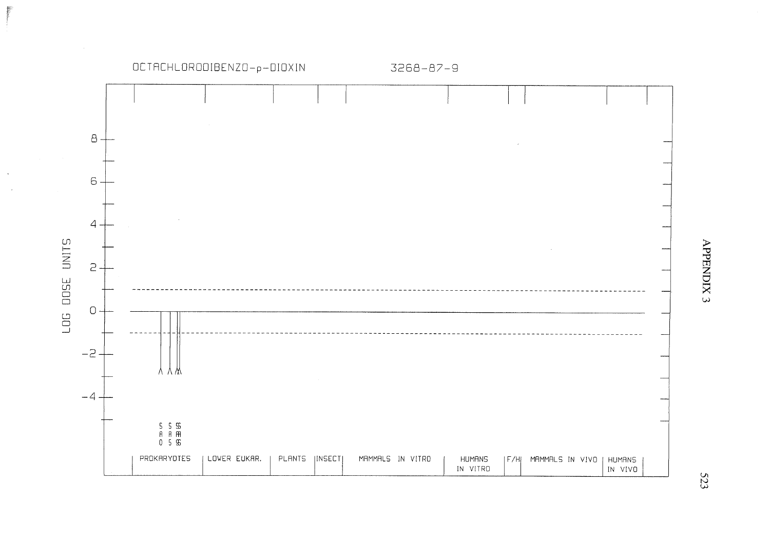

APPENDIX 3

523